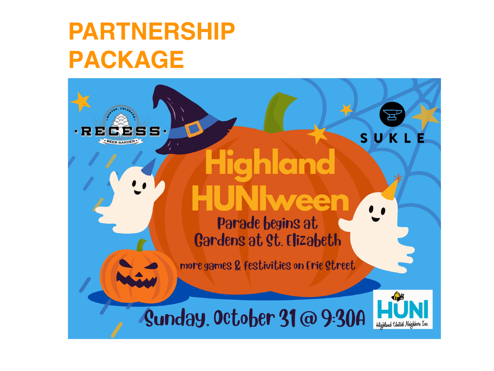### **PARTNERSHIP PACKAGE**

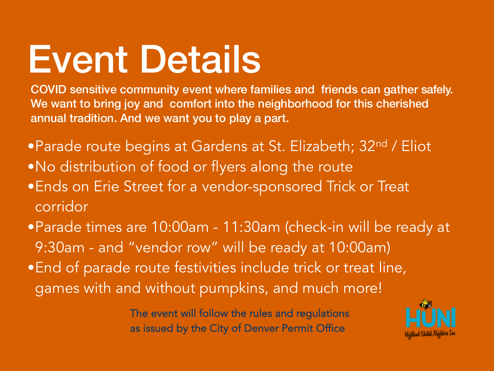## Event Details

COVID sensitive community event where families and friends can gather safely. We want to bring joy and comfort into the neighborhood for this cherished annual tradition. And we want you to play a part.

- •Parade route begins at Gardens at St. Elizabeth; 32nd / Eliot
- •No distribution of food or flyers along the route
- •Ends on Erie Street for a vendor-sponsored Trick or Treat corridor
- •Parade times are 10:00am 11:30am (check-in will be ready at 9:30am - and "vendor row" will be ready at 10:00am)
- •End of parade route festivities include trick or treat line, games with and without pumpkins, and much more!

The event will follow the rules and regulations as issued by the City of Denver Permit Office

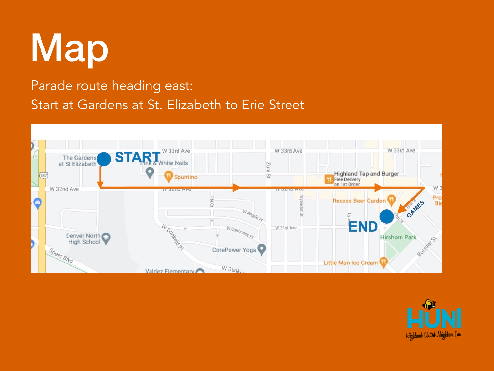# Map

#### Parade route heading east: Start at Gardens at St. Elizabeth to Erie Street



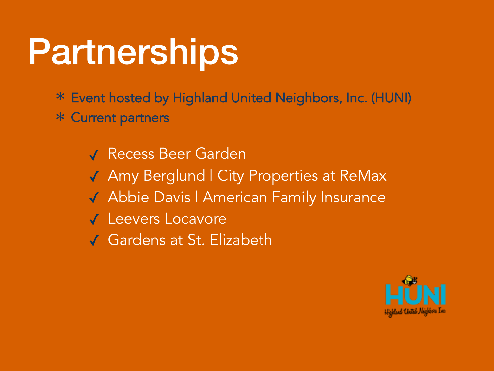### Partnerships

Event hosted by Highland United Neighbors, Inc. (HUNI) ✻

Current partners ✻

✓ Recess Beer Garden ✓ Amy Berglund | City Properties at ReMax ✓ Abbie Davis | American Family Insurance ✓ Leevers Locavore ✓ Gardens at St. Elizabeth

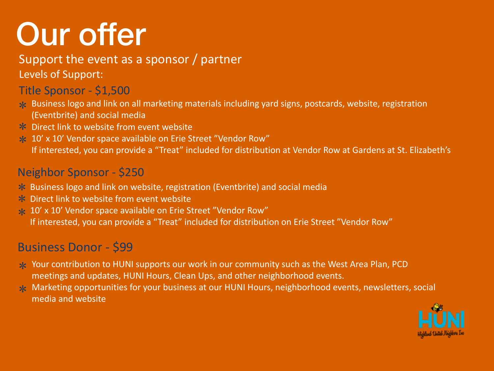### Our offer

#### Support the event as a sponsor / partner

Levels of Support:

#### Title Sponsor - \$1,500

- Business logo and link on all marketing materials including yard signs, postcards, website, registration ✼ (Eventbrite) and social media
- **★** Direct link to website from event website
- \* 10' x 10' Vendor space available on Erie Street "Vendor Row" If interested, you can provide a "Treat" included for distribution at Vendor Row at Gardens at St. Elizabeth's

#### Neighbor Sponsor - \$250

- **★** Business logo and link on website, registration (Eventbrite) and social media
- **★** Direct link to website from event website
- \* 10' x 10' Vendor space available on Erie Street "Vendor Row" If interested, you can provide a "Treat" included for distribution on Erie Street "Vendor Row"

#### Business Donor - \$99

- ∗ Your contribution to HUNI supports our work in our community such as the West Area Plan, PCD meetings and updates, HUNI Hours, Clean Ups, and other neighborhood events.
- ∗ Marketing opportunities for your business at our HUNI Hours, neighborhood events, newsletters, social media and website